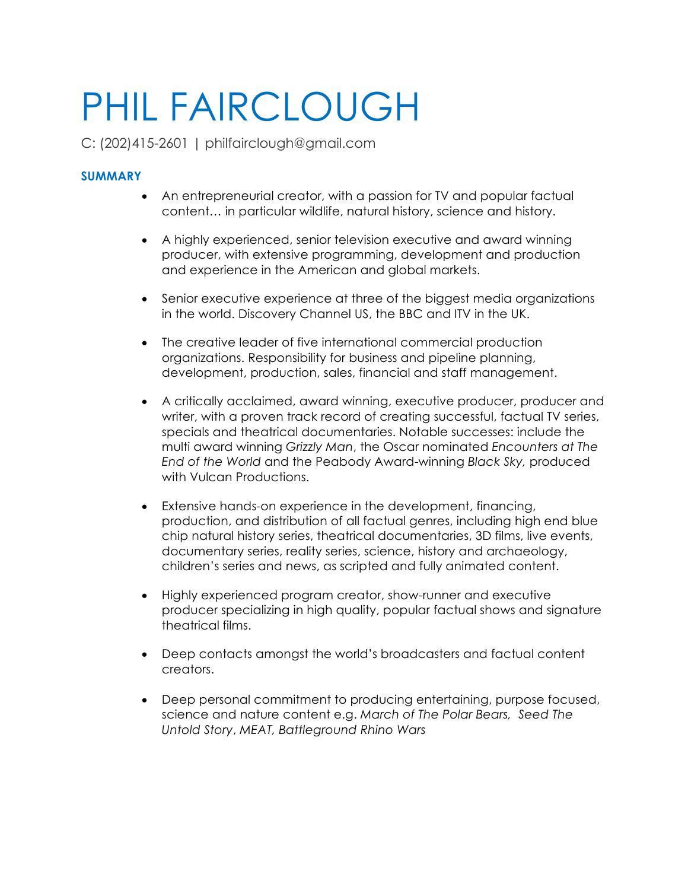# PHIL FAIRCLOUGH

C: (202)415-2601 | philfairclough@gmail.com

# **SUMMARY**

- An entrepreneurial creator, with a passion for TV and popular factual content… in particular wildlife, natural history, science and history.
- A highly experienced, senior television executive and award winning producer, with extensive programming, development and production and experience in the American and global markets.
- Senior executive experience at three of the biggest media organizations in the world. Discovery Channel US, the BBC and ITV in the UK.
- The creative leader of five international commercial production organizations. Responsibility for business and pipeline planning, development, production, sales, financial and staff management.
- A critically acclaimed, award winning, executive producer, producer and writer, with a proven track record of creating successful, factual TV series, specials and theatrical documentaries. Notable successes: include the multi award winning *Grizzly Man*, the Oscar nominated *Encounters at The End of the World* and the Peabody Award-winning *Black Sky,* produced with Vulcan Productions.
- Extensive hands-on experience in the development, financing, production, and distribution of all factual genres, including high end blue chip natural history series, theatrical documentaries, 3D films, live events, documentary series, reality series, science, history and archaeology, children's series and news, as scripted and fully animated content.
- Highly experienced program creator, show-runner and executive producer specializing in high quality, popular factual shows and signature theatrical films.
- Deep contacts amongst the world's broadcasters and factual content creators.
- Deep personal commitment to producing entertaining, purpose focused, science and nature content e.g. *March of The Polar Bears, Seed The Untold Story*, *MEAT, Battleground Rhino Wars*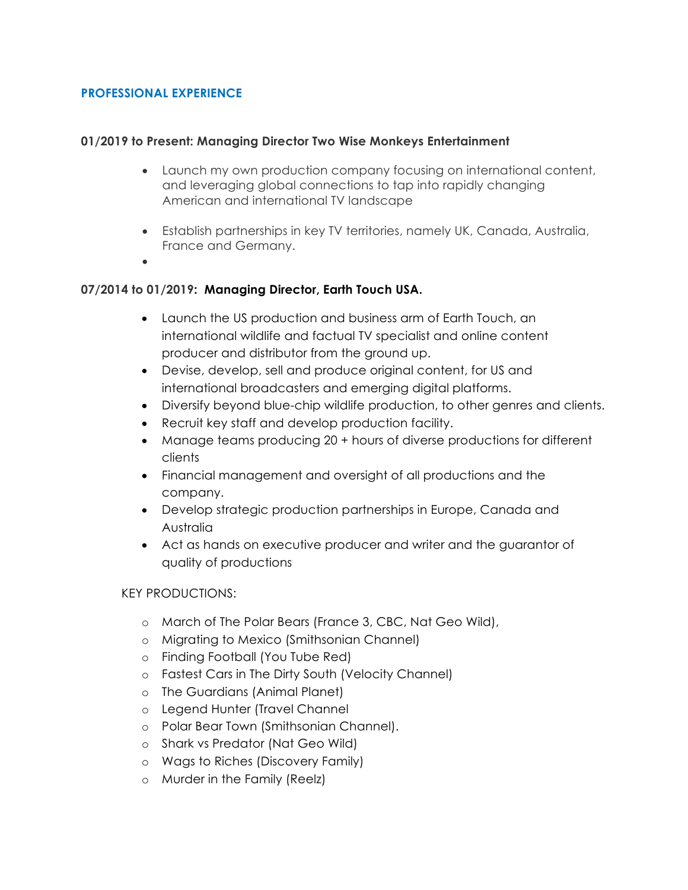## **PROFESSIONAL EXPERIENCE**

### **01/2019 to Present: Managing Director Two Wise Monkeys Entertainment**

- Launch my own production company focusing on international content, and leveraging global connections to tap into rapidly changing American and international TV landscape
- Establish partnerships in key TV territories, namely UK, Canada, Australia, France and Germany.
- •

# **07/2014 to 01/2019: Managing Director, Earth Touch USA.**

- Launch the US production and business arm of Earth Touch, an international wildlife and factual TV specialist and online content producer and distributor from the ground up.
- Devise, develop, sell and produce original content, for US and international broadcasters and emerging digital platforms.
- Diversify beyond blue-chip wildlife production, to other genres and clients.
- Recruit key staff and develop production facility.
- Manage teams producing 20 + hours of diverse productions for different clients
- Financial management and oversight of all productions and the company.
- Develop strategic production partnerships in Europe, Canada and Australia
- Act as hands on executive producer and writer and the guarantor of quality of productions

### KEY PRODUCTIONS:

- o March of The Polar Bears (France 3, CBC, Nat Geo Wild),
- o Migrating to Mexico (Smithsonian Channel)
- o Finding Football (You Tube Red)
- o Fastest Cars in The Dirty South (Velocity Channel)
- o The Guardians (Animal Planet)
- o Legend Hunter (Travel Channel
- o Polar Bear Town (Smithsonian Channel).
- o Shark vs Predator (Nat Geo Wild)
- o Wags to Riches (Discovery Family)
- o Murder in the Family (Reelz)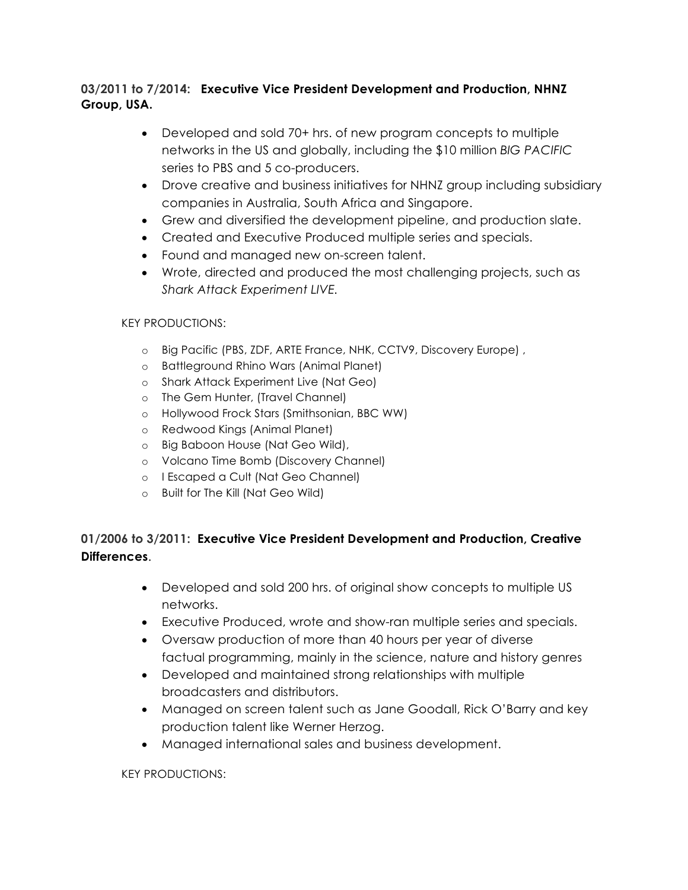# **03/2011 to 7/2014: Executive Vice President Development and Production, NHNZ Group, USA.**

- Developed and sold 70+ hrs. of new program concepts to multiple networks in the US and globally, including the \$10 million *BIG PACIFIC*  series to PBS and 5 co-producers.
- Drove creative and business initiatives for NHNZ group including subsidiary companies in Australia, South Africa and Singapore.
- Grew and diversified the development pipeline, and production slate.
- Created and Executive Produced multiple series and specials.
- Found and managed new on-screen talent.
- Wrote, directed and produced the most challenging projects, such as *Shark Attack Experiment LIVE.*

## KEY PRODUCTIONS:

- o Big Pacific (PBS, ZDF, ARTE France, NHK, CCTV9, Discovery Europe) ,
- o Battleground Rhino Wars (Animal Planet)
- o Shark Attack Experiment Live (Nat Geo)
- o The Gem Hunter, (Travel Channel)
- o Hollywood Frock Stars (Smithsonian, BBC WW)
- o Redwood Kings (Animal Planet)
- o Big Baboon House (Nat Geo Wild),
- o Volcano Time Bomb (Discovery Channel)
- o I Escaped a Cult (Nat Geo Channel)
- o Built for The Kill (Nat Geo Wild)

# **01/2006 to 3/2011: Executive Vice President Development and Production, Creative Differences**.

- Developed and sold 200 hrs. of original show concepts to multiple US networks.
- Executive Produced, wrote and show-ran multiple series and specials.
- Oversaw production of more than 40 hours per year of diverse factual programming, mainly in the science, nature and history genres
- Developed and maintained strong relationships with multiple broadcasters and distributors.
- Managed on screen talent such as Jane Goodall, Rick O'Barry and key production talent like Werner Herzog.
- Managed international sales and business development.

### KEY PRODUCTIONS: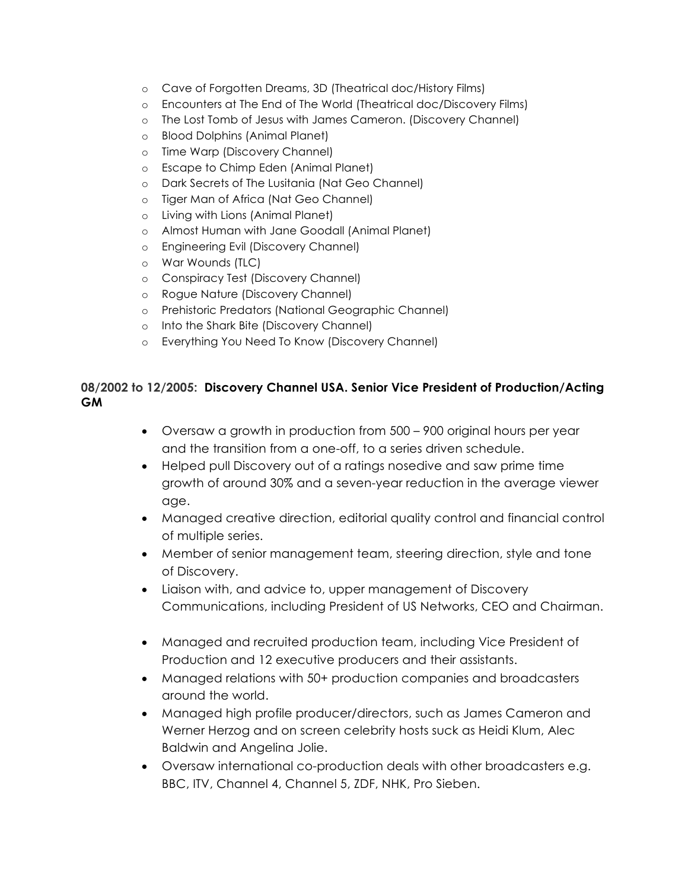- o Cave of Forgotten Dreams, 3D (Theatrical doc/History Films)
- o Encounters at The End of The World (Theatrical doc/Discovery Films)
- o The Lost Tomb of Jesus with James Cameron. (Discovery Channel)
- o Blood Dolphins (Animal Planet)
- o Time Warp (Discovery Channel)
- o Escape to Chimp Eden (Animal Planet)
- o Dark Secrets of The Lusitania (Nat Geo Channel)
- o Tiger Man of Africa (Nat Geo Channel)
- o Living with Lions (Animal Planet)
- o Almost Human with Jane Goodall (Animal Planet)
- o Engineering Evil (Discovery Channel)
- o War Wounds (TLC)
- o Conspiracy Test (Discovery Channel)
- o Rogue Nature (Discovery Channel)
- o Prehistoric Predators (National Geographic Channel)
- o Into the Shark Bite (Discovery Channel)
- o Everything You Need To Know (Discovery Channel)

## **08/2002 to 12/2005: Discovery Channel USA. Senior Vice President of Production/Acting GM**

- Oversaw a growth in production from 500 900 original hours per year and the transition from a one-off, to a series driven schedule.
- Helped pull Discovery out of a ratings nosedive and saw prime time growth of around 30% and a seven-year reduction in the average viewer age.
- Managed creative direction, editorial quality control and financial control of multiple series.
- Member of senior management team, steering direction, style and tone of Discovery.
- Liaison with, and advice to, upper management of Discovery Communications, including President of US Networks, CEO and Chairman.
- Managed and recruited production team, including Vice President of Production and 12 executive producers and their assistants.
- Managed relations with 50+ production companies and broadcasters around the world.
- Managed high profile producer/directors, such as James Cameron and Werner Herzog and on screen celebrity hosts suck as Heidi Klum, Alec Baldwin and Angelina Jolie.
- Oversaw international co-production deals with other broadcasters e.g. BBC, ITV, Channel 4, Channel 5, ZDF, NHK, Pro Sieben.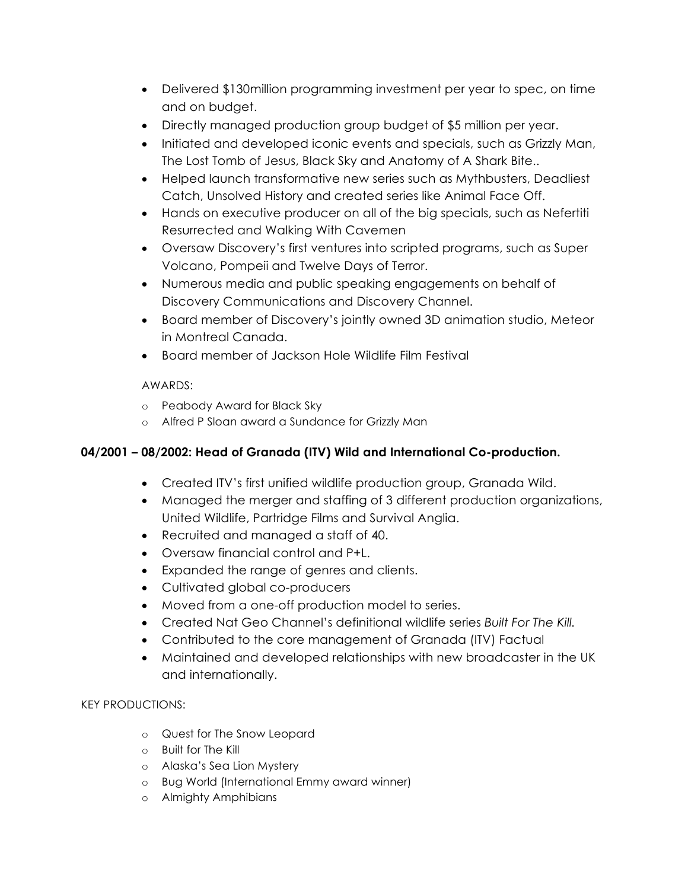- Delivered \$130million programming investment per year to spec, on time and on budget.
- Directly managed production group budget of \$5 million per year.
- Initiated and developed iconic events and specials, such as Grizzly Man, The Lost Tomb of Jesus, Black Sky and Anatomy of A Shark Bite..
- Helped launch transformative new series such as Mythbusters, Deadliest Catch, Unsolved History and created series like Animal Face Off.
- Hands on executive producer on all of the big specials, such as Nefertiti Resurrected and Walking With Cavemen
- Oversaw Discovery's first ventures into scripted programs, such as Super Volcano, Pompeii and Twelve Days of Terror.
- Numerous media and public speaking engagements on behalf of Discovery Communications and Discovery Channel.
- Board member of Discovery's jointly owned 3D animation studio, Meteor in Montreal Canada.
- Board member of Jackson Hole Wildlife Film Festival

# AWARDS:

- o Peabody Award for Black Sky
- o Alfred P Sloan award a Sundance for Grizzly Man

# **04/2001 – 08/2002: Head of Granada (ITV) Wild and International Co-production.**

- Created ITV's first unified wildlife production group, Granada Wild.
- Managed the merger and staffing of 3 different production organizations, United Wildlife, Partridge Films and Survival Anglia.
- Recruited and managed a staff of 40.
- Oversaw financial control and P+L.
- Expanded the range of genres and clients.
- Cultivated global co-producers
- Moved from a one-off production model to series.
- Created Nat Geo Channel's definitional wildlife series *Built For The Kill.*
- Contributed to the core management of Granada (ITV) Factual
- Maintained and developed relationships with new broadcaster in the UK and internationally.

# KEY PRODUCTIONS:

- o Quest for The Snow Leopard
- o Built for The Kill
- o Alaska's Sea Lion Mystery
- o Bug World (International Emmy award winner)
- o Almighty Amphibians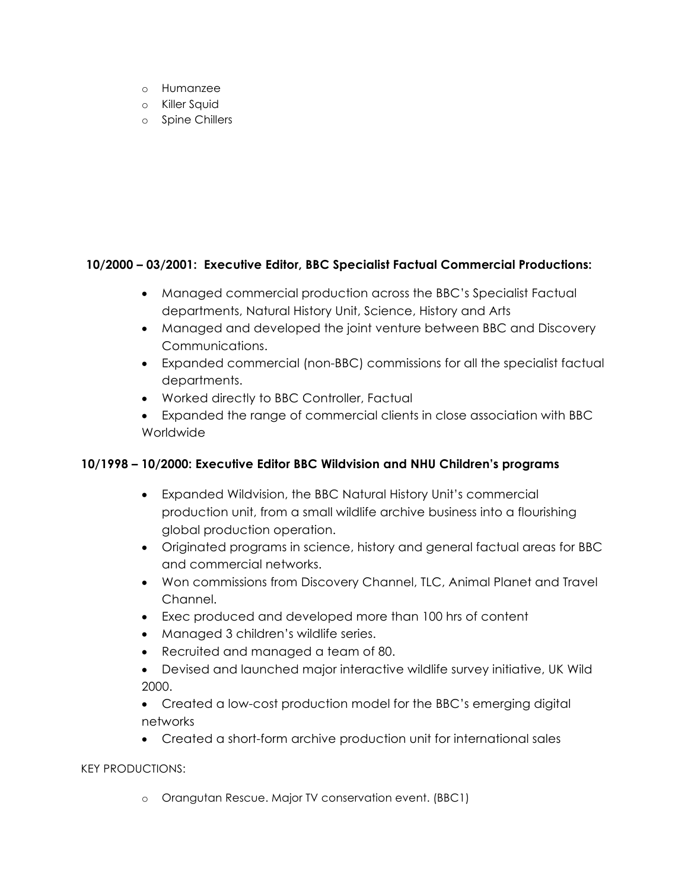- o Humanzee
- o Killer Squid
- o Spine Chillers

# **10/2000 – 03/2001: Executive Editor, BBC Specialist Factual Commercial Productions:**

- Managed commercial production across the BBC's Specialist Factual departments, Natural History Unit, Science, History and Arts
- Managed and developed the joint venture between BBC and Discovery Communications.
- Expanded commercial (non-BBC) commissions for all the specialist factual departments.
- Worked directly to BBC Controller, Factual
- Expanded the range of commercial clients in close association with BBC Worldwide

# **10/1998 – 10/2000: Executive Editor BBC Wildvision and NHU Children's programs**

- Expanded Wildvision, the BBC Natural History Unit's commercial production unit, from a small wildlife archive business into a flourishing global production operation.
- Originated programs in science, history and general factual areas for BBC and commercial networks.
- Won commissions from Discovery Channel, TLC, Animal Planet and Travel Channel.
- Exec produced and developed more than 100 hrs of content
- Managed 3 children's wildlife series.
- Recruited and managed a team of 80.
- Devised and launched major interactive wildlife survey initiative, UK Wild 2000.
- Created a low-cost production model for the BBC's emerging digital networks
- Created a short-form archive production unit for international sales

### KEY PRODUCTIONS:

o Orangutan Rescue. Major TV conservation event. (BBC1)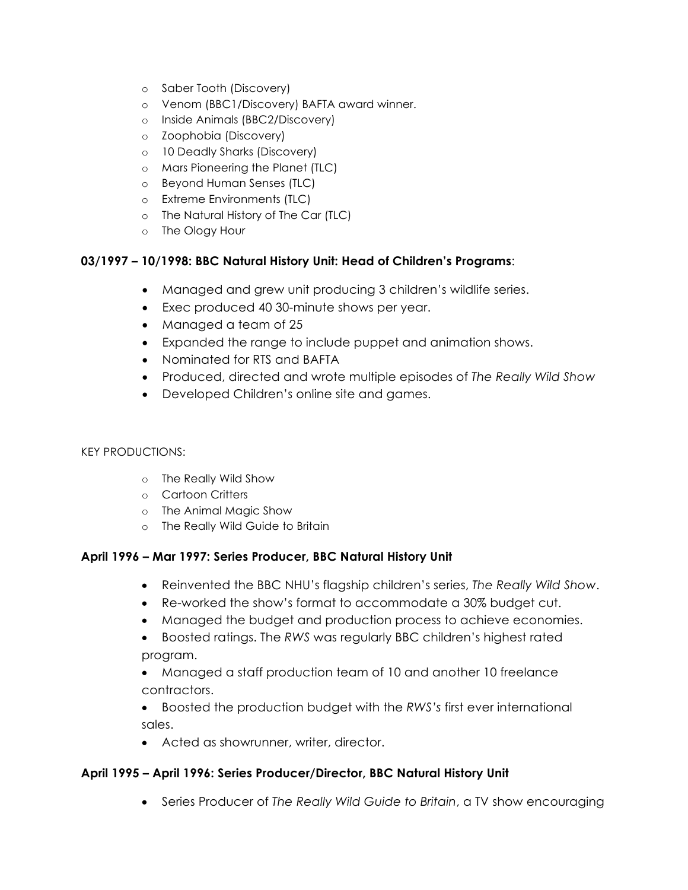- o Saber Tooth (Discovery)
- o Venom (BBC1/Discovery) BAFTA award winner.
- o Inside Animals (BBC2/Discovery)
- o Zoophobia (Discovery)
- o 10 Deadly Sharks (Discovery)
- o Mars Pioneering the Planet (TLC)
- o Beyond Human Senses (TLC)
- o Extreme Environments (TLC)
- o The Natural History of The Car (TLC)
- o The Ology Hour

## **03/1997 – 10/1998: BBC Natural History Unit: Head of Children's Programs**:

- Managed and grew unit producing 3 children's wildlife series.
- Exec produced 40 30-minute shows per year.
- Managed a team of 25
- Expanded the range to include puppet and animation shows.
- Nominated for RTS and BAFTA
- Produced, directed and wrote multiple episodes of *The Really Wild Show*
- Developed Children's online site and games.

### KEY PRODUCTIONS:

- o The Really Wild Show
- o Cartoon Critters
- o The Animal Magic Show
- o The Really Wild Guide to Britain

# **April 1996 – Mar 1997: Series Producer, BBC Natural History Unit**

- Reinvented the BBC NHU's flagship children's series, *The Really Wild Show*.
- Re-worked the show's format to accommodate a 30% budget cut.
- Managed the budget and production process to achieve economies.
- Boosted ratings. The *RWS* was regularly BBC children's highest rated program.
- Managed a staff production team of 10 and another 10 freelance contractors.
- Boosted the production budget with the *RWS's* first ever international sales.
- Acted as showrunner, writer, director.

# **April 1995 – April 1996: Series Producer/Director, BBC Natural History Unit**

• Series Producer of *The Really Wild Guide to Britain*, a TV show encouraging